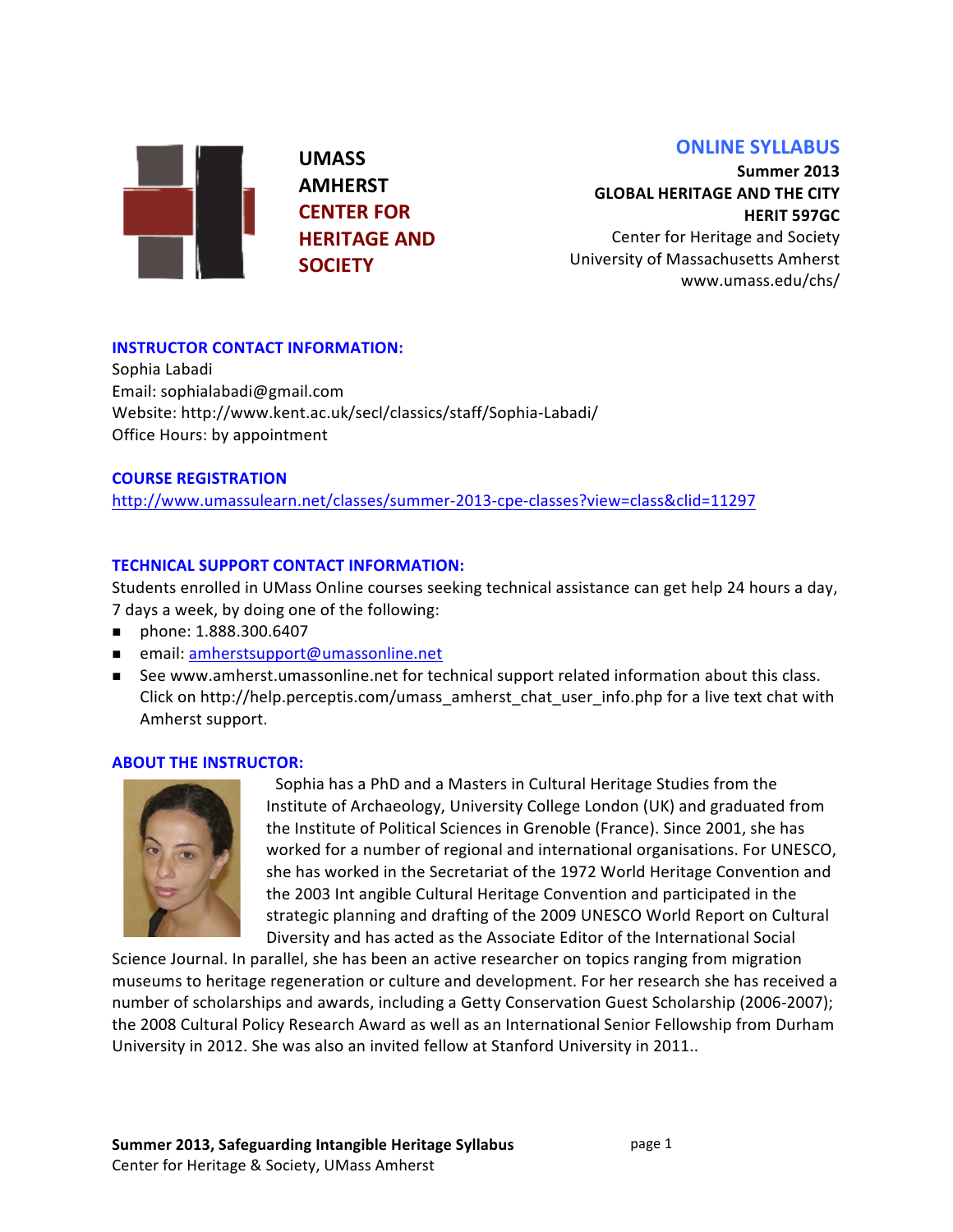# **ONLINE SYLLABUS**

**UMASS& AMHERST& CENTER FOR HERITAGE AND SOCIETY**

**Summer&2013& GLOBAL HERITAGE AND THE CITY HERIT 597GC** Center for Heritage and Society

University of Massachusetts Amherst www.umass.edu/chs/&

## **INSTRUCTOR CONTACT INFORMATION:**

Sophia Labadi Email: sophialabadi@gmail.com Website: http://www.kent.ac.uk/secl/classics/staff/Sophia-Labadi/ Office Hours: by appointment

### **COURSE REGISTRATION**

http://www.umassulearn.net/classes/summer-2013-cpe-classes?view=class&clid=11297

## **TECHNICAL SUPPORT CONTACT INFORMATION:**

Students enrolled in UMass Online courses seeking technical assistance can get help 24 hours a day, 7 days a week, by doing one of the following:

- phone: 1.888.300.6407
- **n** email: amherstsupport@umassonline.net
- See www.amherst.umassonline.net for technical support related information about this class. Click on http://help.perceptis.com/umass\_amherst\_chat\_user\_info.php for a live text chat with Amherst support.

#### **ABOUT THE INSTRUCTOR:**



Sophia has a PhD and a Masters in Cultural Heritage Studies from the Institute of Archaeology, University College London (UK) and graduated from the Institute of Political Sciences in Grenoble (France). Since 2001, she has worked for a number of regional and international organisations. For UNESCO, she has worked in the Secretariat of the 1972 World Heritage Convention and the 2003 Int angible Cultural Heritage Convention and participated in the strategic planning and drafting of the 2009 UNESCO World Report on Cultural Diversity and has acted as the Associate Editor of the International Social

Science Journal. In parallel, she has been an active researcher on topics ranging from migration museums to heritage regeneration or culture and development. For her research she has received a number of scholarships and awards, including a Getty Conservation Guest Scholarship (2006-2007); the 2008 Cultural Policy Research Award as well as an International Senior Fellowship from Durham University in 2012. She was also an invited fellow at Stanford University in 2011..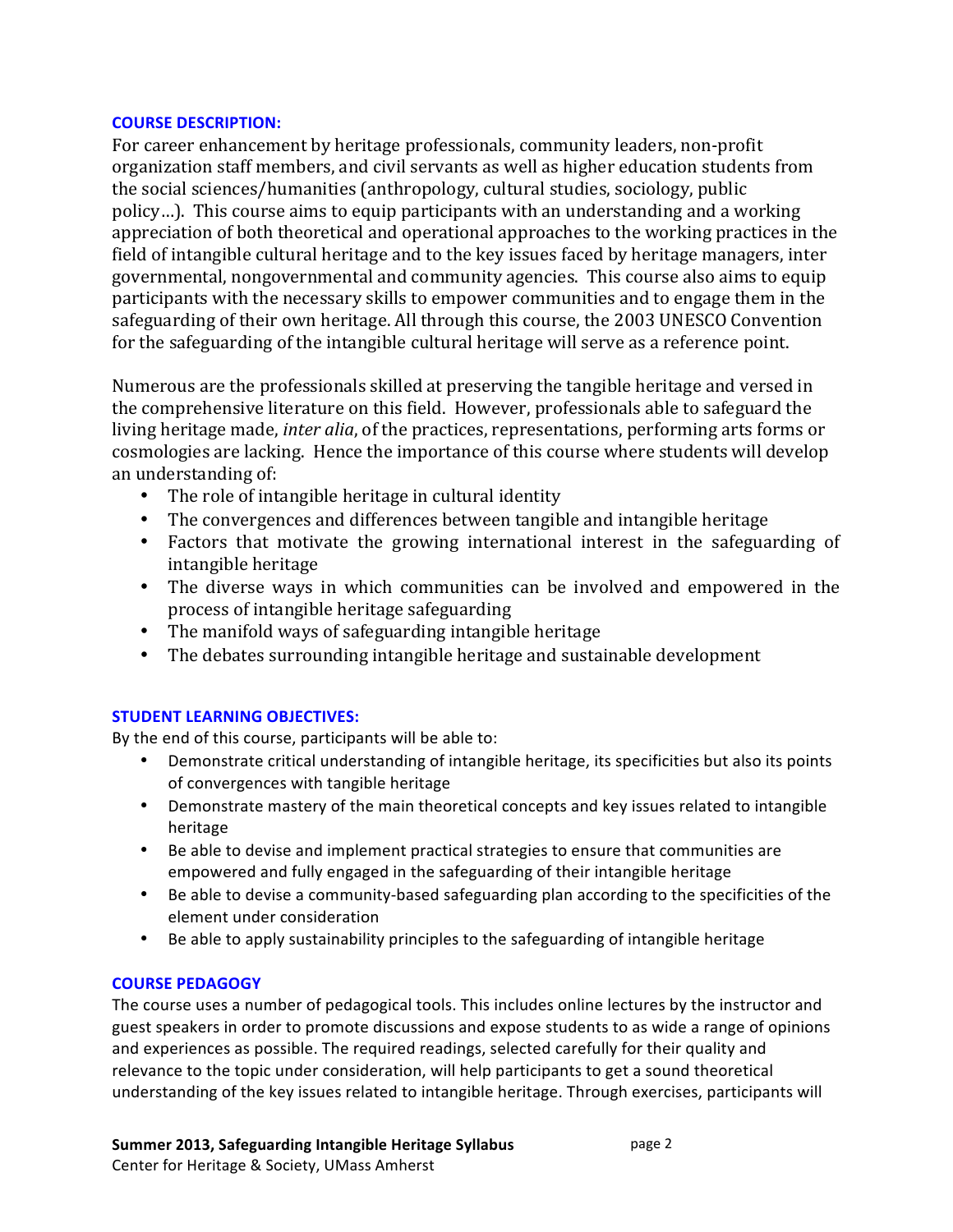#### **COURSE DESCRIPTION:**

For career enhancement by heritage professionals, community leaders, non-profit organization staff members, and civil servants as well as higher education students from the social sciences/humanities (anthropology, cultural studies, sociology, public policy...). This course aims to equip participants with an understanding and a working appreciation of both theoretical and operational approaches to the working practices in the field of intangible cultural heritage and to the key issues faced by heritage managers, inter governmental, nongovernmental and community agencies. This course also aims to equip participants with the necessary skills to empower communities and to engage them in the safeguarding of their own heritage. All through this course, the 2003 UNESCO Convention for the safeguarding of the intangible cultural heritage will serve as a reference point.

Numerous are the professionals skilled at preserving the tangible heritage and versed in the comprehensive literature on this field. However, professionals able to safeguard the living heritage made, *inter alia*, of the practices, representations, performing arts forms or cosmologies are lacking. Hence the importance of this course where students will develop an understanding of:

- The role of intangible heritage in cultural identity
- The convergences and differences between tangible and intangible heritage
- Factors that motivate the growing international interest in the safeguarding of intangible heritage
- The diverse ways in which communities can be involved and empowered in the process of intangible heritage safeguarding
- The manifold ways of safeguarding intangible heritage
- The debates surrounding intangible heritage and sustainable development

## **STUDENT LEARNING OBJECTIVES:**

By the end of this course, participants will be able to:

- Demonstrate critical understanding of intangible heritage, its specificities but also its points of convergences with tangible heritage
- Demonstrate mastery of the main theoretical concepts and key issues related to intangible heritage
- Be able to devise and implement practical strategies to ensure that communities are empowered and fully engaged in the safeguarding of their intangible heritage
- Be able to devise a community-based safeguarding plan according to the specificities of the element under consideration
- Be able to apply sustainability principles to the safeguarding of intangible heritage

# **COURSE PEDAGOGY**

The course uses a number of pedagogical tools. This includes online lectures by the instructor and guest speakers in order to promote discussions and expose students to as wide a range of opinions and experiences as possible. The required readings, selected carefully for their quality and relevance to the topic under consideration, will help participants to get a sound theoretical understanding of the key issues related to intangible heritage. Through exercises, participants will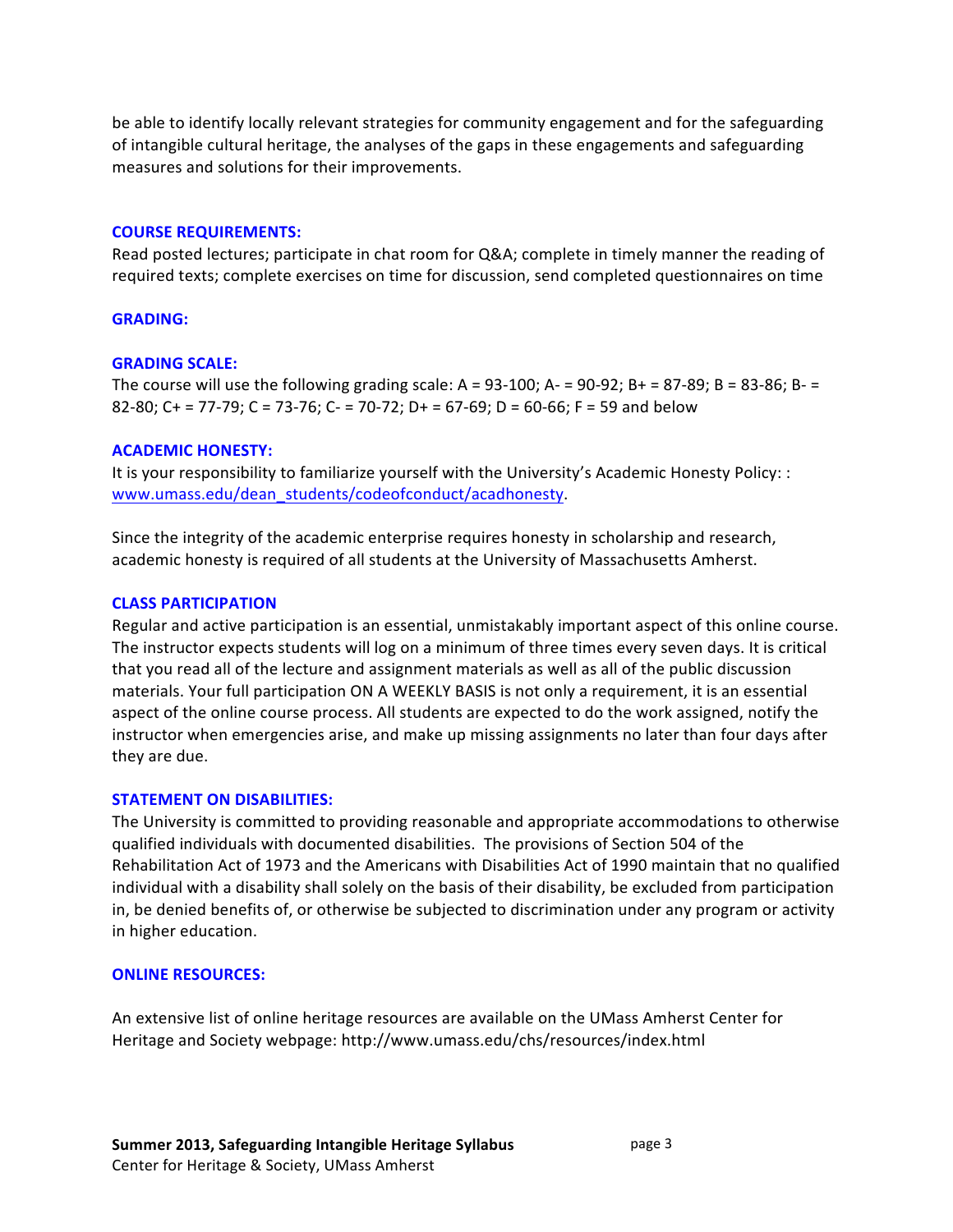be able to identify locally relevant strategies for community engagement and for the safeguarding of intangible cultural heritage, the analyses of the gaps in these engagements and safeguarding measures and solutions for their improvements.

#### **COURSE REQUIREMENTS:**

Read posted lectures; participate in chat room for Q&A; complete in timely manner the reading of required texts; complete exercises on time for discussion, send completed questionnaires on time

#### **GRADING:&**

#### **GRADING SCALE:**

The course will use the following grading scale: A = 93-100; A- = 90-92; B+ = 87-89; B = 83-86; B- = 82-80; C + = 77-79; C = 73-76; C- = 70-72; D + = 67-69; D = 60-66; F = 59 and below

#### **ACADEMIC HONESTY:**

It is your responsibility to familiarize yourself with the University's Academic Honesty Policy: : www.umass.edu/dean\_students/codeofconduct/acadhonesty.

Since the integrity of the academic enterprise requires honesty in scholarship and research, academic honesty is required of all students at the University of Massachusetts Amherst.

#### **CLASS&PARTICIPATION**

Regular and active participation is an essential, unmistakably important aspect of this online course. The instructor expects students will log on a minimum of three times every seven days. It is critical that you read all of the lecture and assignment materials as well as all of the public discussion materials. Your full participation ON A WEEKLY BASIS is not only a requirement, it is an essential aspect of the online course process. All students are expected to do the work assigned, notify the instructor when emergencies arise, and make up missing assignments no later than four days after they are due.

#### **STATEMENT ON DISABILITIES:**

The University is committed to providing reasonable and appropriate accommodations to otherwise qualified individuals with documented disabilities. The provisions of Section 504 of the Rehabilitation Act of 1973 and the Americans with Disabilities Act of 1990 maintain that no qualified individual with a disability shall solely on the basis of their disability, be excluded from participation in, be denied benefits of, or otherwise be subjected to discrimination under any program or activity in higher education.

#### **ONLINE RESOURCES:**

An extensive list of online heritage resources are available on the UMass Amherst Center for Heritage and Society webpage: http://www.umass.edu/chs/resources/index.html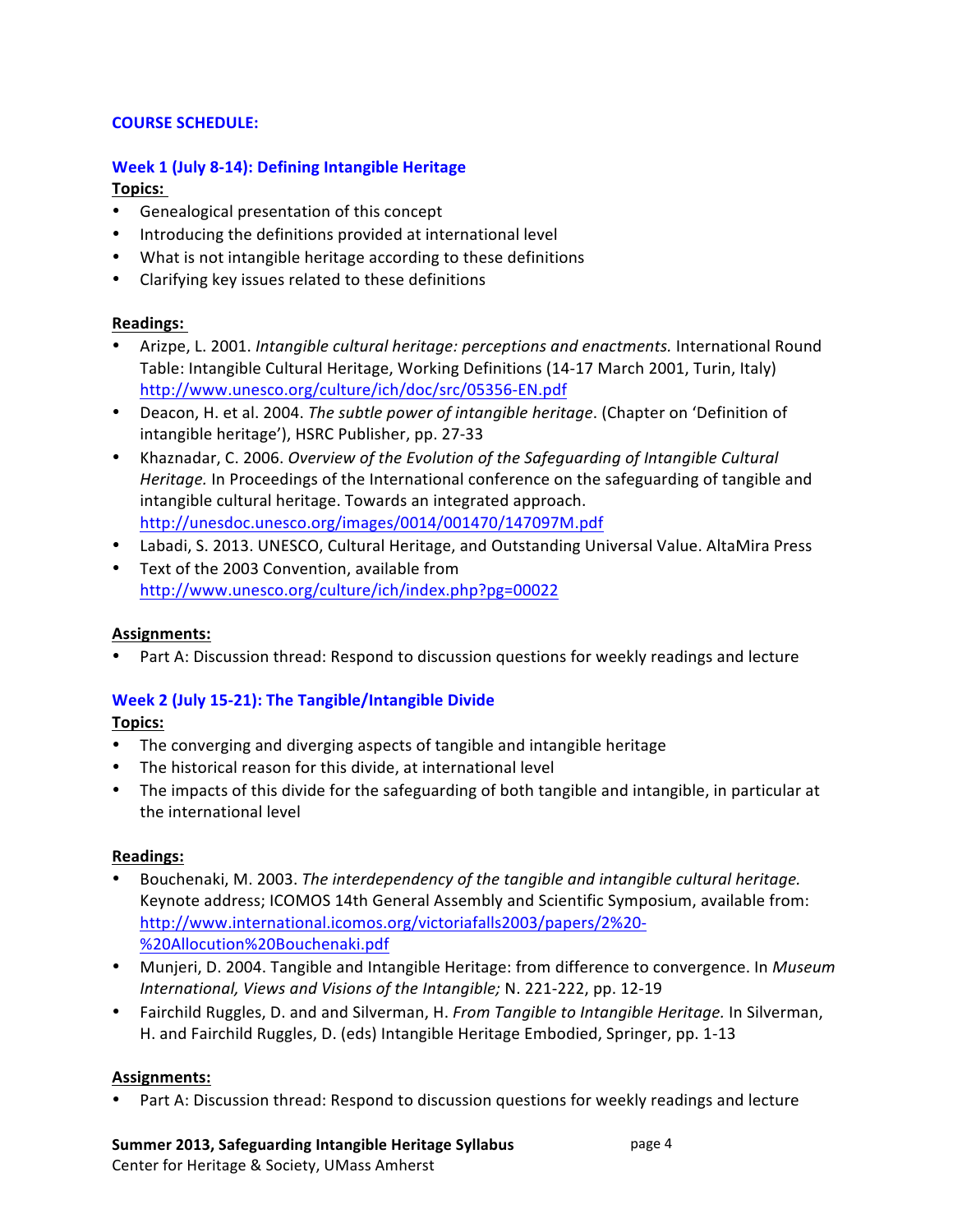## **COURSE SCHEDULE:**

### **Week 1 (July 8-14): Defining Intangible Heritage Topics:&**

- Genealogical presentation of this concept
- Introducing the definitions provided at international level
- What is not intangible heritage according to these definitions
- Clarifying key issues related to these definitions

### **Readings:&**

- Arizpe,&L.&2001.&*Intangible\*cultural\*heritage:\*perceptions\*and\*enactments.\**International&Round& Table: Intangible Cultural Heritage, Working Definitions (14-17 March 2001, Turin, Italy) http://www.unesco.org/culture/ich/doc/src/05356-EN.pdf
- Deacon, H. et al. 2004. The subtle power of intangible heritage. (Chapter on 'Definition of intangible heritage'), HSRC Publisher, pp. 27-33
- Khaznadar, C. 2006. Overview of the Evolution of the Safeguarding of Intangible Cultural Heritage. In Proceedings of the International conference on the safeguarding of tangible and intangible cultural heritage. Towards an integrated approach. http://unesdoc.unesco.org/images/0014/001470/147097M.pdf
- Labadi, S. 2013. UNESCO, Cultural Heritage, and Outstanding Universal Value. AltaMira Press
- Text of the 2003 Convention, available from http://www.unesco.org/culture/ich/index.php?pg=00022

#### **Assignments:**

Part A: Discussion thread: Respond to discussion questions for weekly readings and lecture

## Week 2 (July 15-21): The Tangible/Intangible Divide

## **Topics:**

- The converging and diverging aspects of tangible and intangible heritage
- The historical reason for this divide, at international level
- The impacts of this divide for the safeguarding of both tangible and intangible, in particular at the international level

#### **Readings:**

- Bouchenaki, M. 2003. The interdependency of the tangible and intangible cultural heritage. Keynote address; ICOMOS 14th General Assembly and Scientific Symposium, available from: http://www.international.icomos.org/victoriafalls2003/papers/2%20-%20Allocution%20Bouchenaki.pdf
- Munjeri, D. 2004. Tangible and Intangible Heritage: from difference to convergence. In *Museum International, Views and Visions of the Intangible; N. 221-222, pp. 12-19*
- Fairchild Ruggles, D. and and Silverman, H. *From Tangible to Intangible Heritage.* In Silverman, H. and Fairchild Ruggles, D. (eds) Intangible Heritage Embodied, Springer, pp. 1-13

#### **Assignments:**

• Part A: Discussion thread: Respond to discussion questions for weekly readings and lecture

# Summer 2013, Safeguarding Intangible Heritage Syllabus

Center for Heritage & Society, UMass Amherst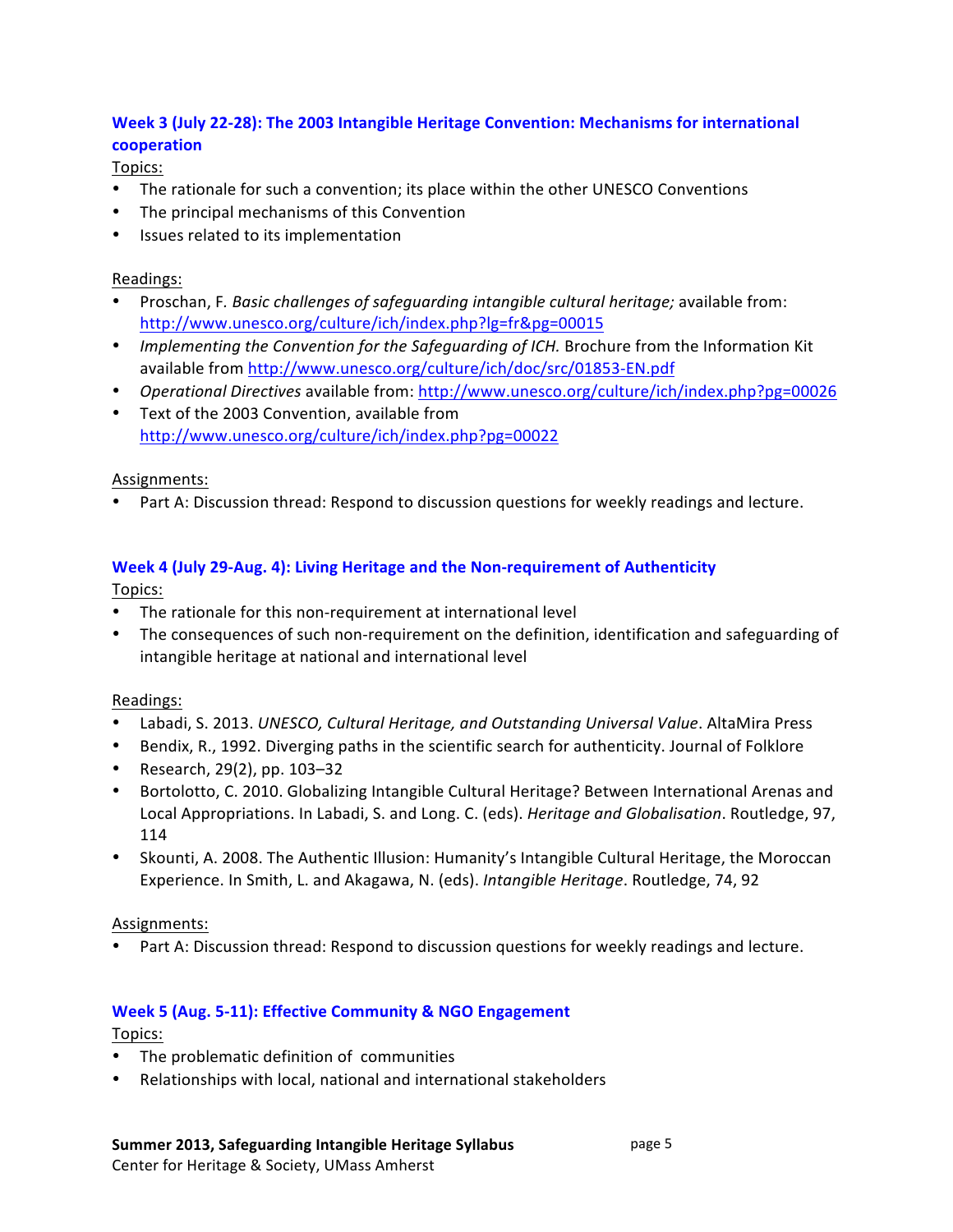# Week 3 (July 22-28): The 2003 Intangible Heritage Convention: Mechanisms for international **cooperation**

Topics:

- The rationale for such a convention; its place within the other UNESCO Conventions
- The principal mechanisms of this Convention
- Issues related to its implementation

## Readings:

- \* Proschan, F. Basic challenges of safeguarding intangible cultural heritage; available from: http://www.unesco.org/culture/ich/index.php?lg=fr&pg=00015
- \* *Implementing the Convention for the Safequarding of ICH.* Brochure from the Information Kit available from http://www.unesco.org/culture/ich/doc/src/01853-EN.pdf
- *Operational Directives* available from: http://www.unesco.org/culture/ich/index.php?pg=00026
- Text of the 2003 Convention, available from http://www.unesco.org/culture/ich/index.php?pg=00022

### Assignments:

Part A: Discussion thread: Respond to discussion questions for weekly readings and lecture.

## **Week 4 (July 29-Aug. 4): Living Heritage and the Non-requirement of Authenticity**

Topics:

- The rationale for this non-requirement at international level
- The consequences of such non-requirement on the definition, identification and safeguarding of intangible heritage at national and international level

#### Readings:

- Labadi, S. 2013. *UNESCO, Cultural Heritage, and Outstanding Universal Value*. AltaMira Press
- Bendix, R., 1992. Diverging paths in the scientific search for authenticity. Journal of Folklore
- Research, 29(2), pp.  $103-32$
- Bortolotto, C. 2010. Globalizing Intangible Cultural Heritage? Between International Arenas and Local Appropriations. In Labadi, S. and Long. C. (eds). *Heritage and Globalisation*. Routledge, 97, 114
- Skounti, A. 2008. The Authentic Illusion: Humanity's Intangible Cultural Heritage, the Moroccan Experience. In Smith, L. and Akagawa, N. (eds). *Intangible Heritage*. Routledge, 74, 92

#### Assignments:

• Part A: Discussion thread: Respond to discussion questions for weekly readings and lecture.

## Week 5 (Aug. 5-11): Effective Community & NGO Engagement

Topics:

- The problematic definition of communities
- Relationships with local, national and international stakeholders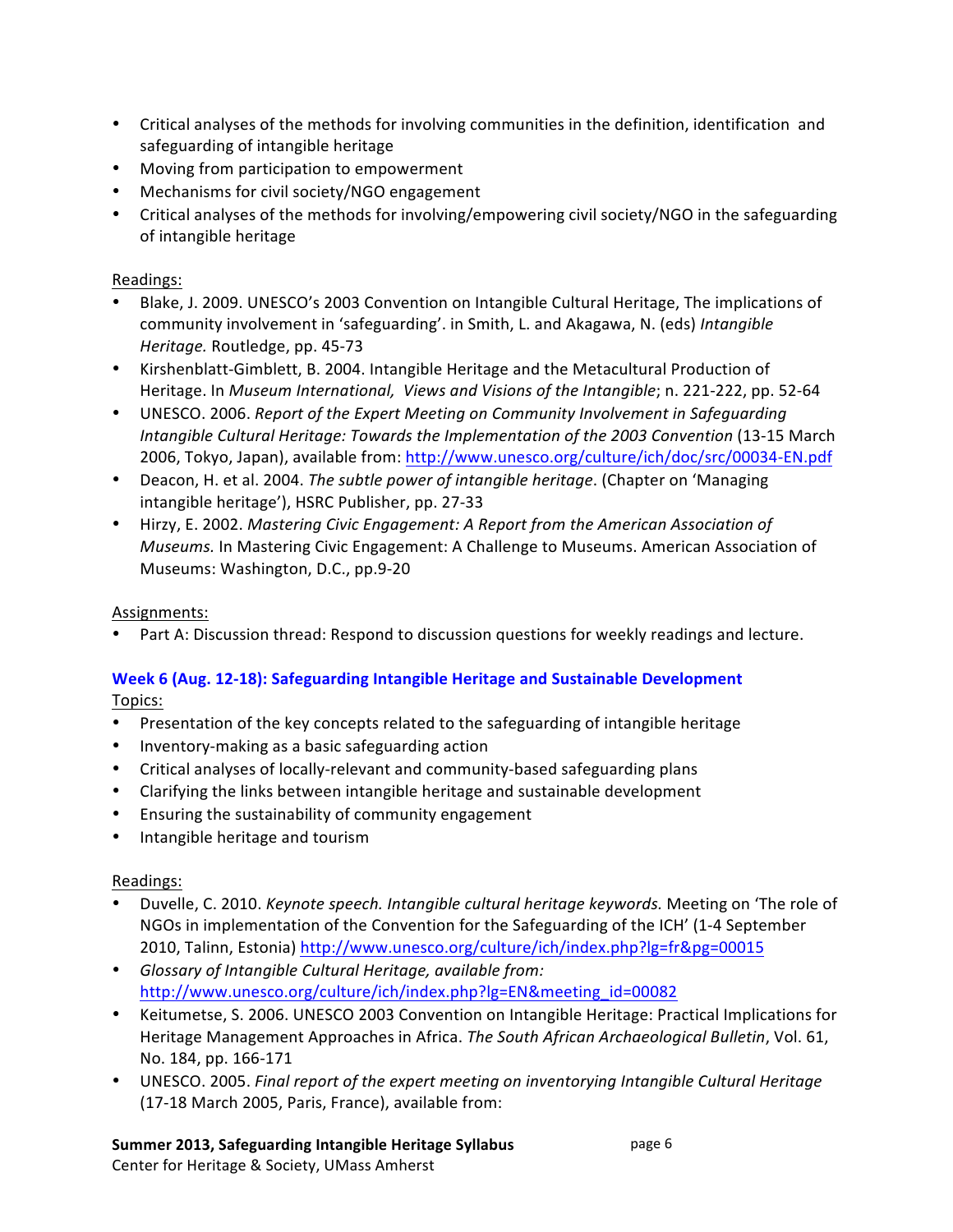- Critical analyses of the methods for involving communities in the definition, identification and safeguarding of intangible heritage
- Moving from participation to empowerment
- Mechanisms for civil society/NGO engagement
- Critical analyses of the methods for involving/empowering civil society/NGO in the safeguarding of intangible heritage

## Readings:

- Blake, J. 2009. UNESCO's 2003 Convention on Intangible Cultural Heritage, The implications of community involvement in 'safeguarding'. in Smith, L. and Akagawa, N. (eds) Intangible *Heritage.* Routledge, pp. 45-73
- Kirshenblatt-Gimblett, B. 2004. Intangible Heritage and the Metacultural Production of Heritage. In Museum International, Views and Visions of the Intangible; n. 221-222, pp. 52-64
- UNESCO. 2006. Report of the Expert Meeting on Community Involvement in Safeguarding *Intangible Cultural Heritage: Towards the Implementation of the 2003 Convention* (13-15 March 2006, Tokyo, Japan), available from: http://www.unesco.org/culture/ich/doc/src/00034-EN.pdf
- Deacon, H. et al. 2004. The *subtle power of intangible heritage*. (Chapter on 'Managing intangible heritage'), HSRC Publisher, pp. 27-33
- Hirzy, E. 2002. Mastering Civic Engagement: A Report from the American Association of *Museums.* In Mastering Civic Engagement: A Challenge to Museums. American Association of Museums: Washington, D.C., pp.9-20

## Assignments:

Part A: Discussion thread: Respond to discussion questions for weekly readings and lecture.

## **Week 6 (Aug. 12-18): Safeguarding Intangible Heritage and Sustainable Development** Topics:

- Presentation of the key concepts related to the safeguarding of intangible heritage
- Inventory-making as a basic safeguarding action
- Critical analyses of locally-relevant and community-based safeguarding plans
- Clarifying the links between intangible heritage and sustainable development
- Ensuring the sustainability of community engagement
- Intangible heritage and tourism

## Readings:

- Duvelle,&C.&2010.&*Keynote\*speech.\*Intangible\*cultural\*heritage\*keywords.\**Meeting&on&'The&role&of& NGOs in implementation of the Convention for the Safeguarding of the ICH' (1-4 September 2010, Talinn, Estonia) http://www.unesco.org/culture/ich/index.php?lg=fr&pg=00015
- *Glossary\*of\*Intangible\*Cultural\*Heritage,\*available\*from:\** http://www.unesco.org/culture/ich/index.php?lg=EN&meeting\_id=00082
- Keitumetse, S. 2006. UNESCO 2003 Convention on Intangible Heritage: Practical Implications for Heritage Management Approaches in Africa. The South African Archaeological Bulletin, Vol. 61, No. 184, pp. 166-171
- \* UNESCO. 2005. Final report of the expert meeting on inventorying Intangible Cultural Heritage (17-18 March 2005, Paris, France), available from:

# Summer 2013, Safeguarding Intangible Heritage Syllabus

Center for Heritage & Society, UMass Amherst